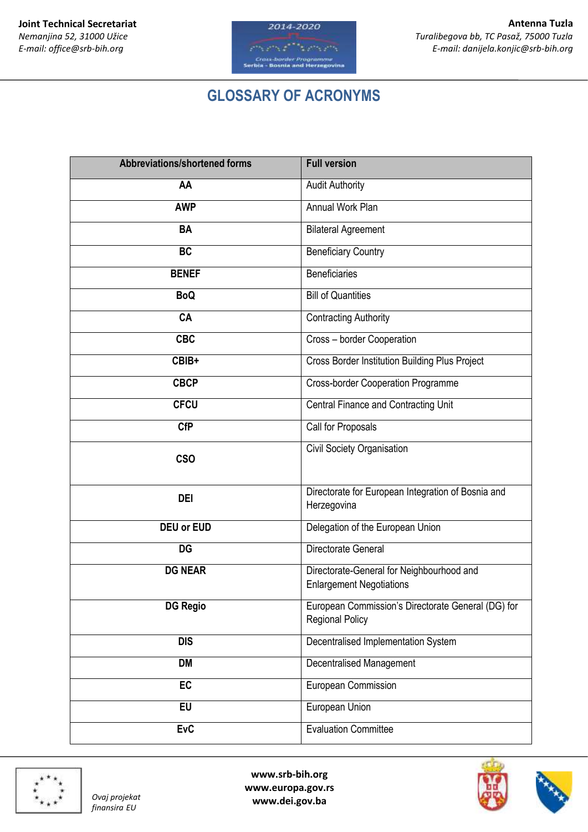

## **GLOSSARY OF ACRONYMS**

| <b>Abbreviations/shortened forms</b> | <b>Full version</b>                                                          |
|--------------------------------------|------------------------------------------------------------------------------|
| AA                                   | <b>Audit Authority</b>                                                       |
| <b>AWP</b>                           | Annual Work Plan                                                             |
| <b>BA</b>                            | <b>Bilateral Agreement</b>                                                   |
| <b>BC</b>                            | <b>Beneficiary Country</b>                                                   |
| <b>BENEF</b>                         | <b>Beneficiaries</b>                                                         |
| <b>BoQ</b>                           | <b>Bill of Quantities</b>                                                    |
| CA                                   | <b>Contracting Authority</b>                                                 |
| <b>CBC</b>                           | Cross - border Cooperation                                                   |
| CBIB+                                | <b>Cross Border Institution Building Plus Project</b>                        |
| <b>CBCP</b>                          | <b>Cross-border Cooperation Programme</b>                                    |
| <b>CFCU</b>                          | Central Finance and Contracting Unit                                         |
| <b>CfP</b>                           | Call for Proposals                                                           |
| <b>CSO</b>                           | Civil Society Organisation                                                   |
| <b>DEI</b>                           | Directorate for European Integration of Bosnia and<br>Herzegovina            |
| <b>DEU or EUD</b>                    | Delegation of the European Union                                             |
| <b>DG</b>                            | Directorate General                                                          |
| <b>DG NEAR</b>                       | Directorate-General for Neighbourhood and<br><b>Enlargement Negotiations</b> |
| <b>DG Regio</b>                      | European Commission's Directorate General (DG) for<br><b>Regional Policy</b> |
| <b>DIS</b>                           | Decentralised Implementation System                                          |
| <b>DM</b>                            | <b>Decentralised Management</b>                                              |
| EC                                   | European Commission                                                          |
| EU                                   | European Union                                                               |
| <b>EvC</b>                           | <b>Evaluation Committee</b>                                                  |



*finansira EU*

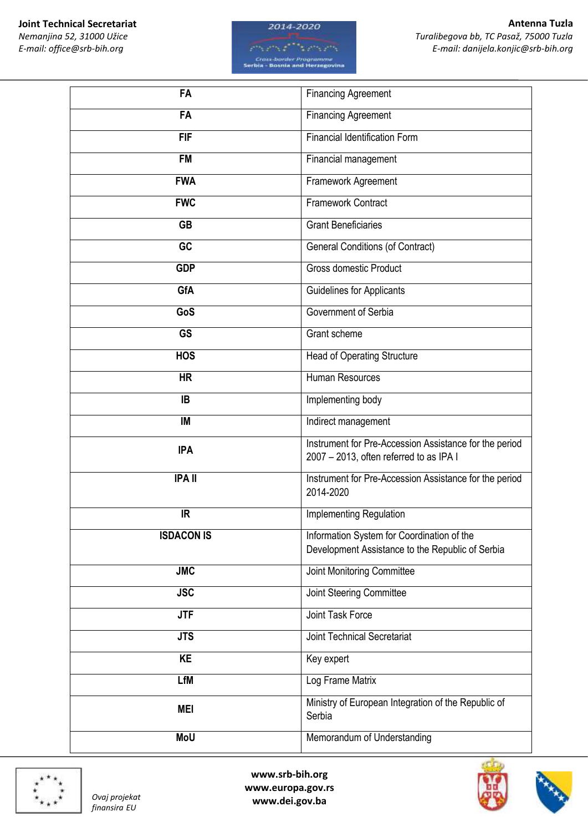*Nemanjina 52, 31000 Užice E-mail: office@srb-bih.org*





| <b>FA</b>         | <b>Financing Agreement</b>                                                                        |
|-------------------|---------------------------------------------------------------------------------------------------|
| <b>FA</b>         | <b>Financing Agreement</b>                                                                        |
| <b>FIF</b>        | <b>Financial Identification Form</b>                                                              |
| <b>FM</b>         | Financial management                                                                              |
| <b>FWA</b>        | Framework Agreement                                                                               |
| <b>FWC</b>        | Framework Contract                                                                                |
| <b>GB</b>         | <b>Grant Beneficiaries</b>                                                                        |
| GC                | <b>General Conditions (of Contract)</b>                                                           |
| <b>GDP</b>        | <b>Gross domestic Product</b>                                                                     |
| GfA               | <b>Guidelines for Applicants</b>                                                                  |
| GoS               | Government of Serbia                                                                              |
| <b>GS</b>         | Grant scheme                                                                                      |
| <b>HOS</b>        | Head of Operating Structure                                                                       |
| <b>HR</b>         | Human Resources                                                                                   |
| IB                | Implementing body                                                                                 |
| IM                | Indirect management                                                                               |
| <b>IPA</b>        | Instrument for Pre-Accession Assistance for the period<br>2007 - 2013, often referred to as IPA I |
| <b>IPA II</b>     | Instrument for Pre-Accession Assistance for the period<br>2014-2020                               |
| IR                | Implementing Regulation                                                                           |
| <b>ISDACON IS</b> | Information System for Coordination of the<br>Development Assistance to the Republic of Serbia    |
| <b>JMC</b>        | Joint Monitoring Committee                                                                        |
| <b>JSC</b>        | Joint Steering Committee                                                                          |
| <b>JTF</b>        | Joint Task Force                                                                                  |
| <b>JTS</b>        | <b>Joint Technical Secretariat</b>                                                                |
| <b>KE</b>         | Key expert                                                                                        |
| <b>LfM</b>        | Log Frame Matrix                                                                                  |
| <b>MEI</b>        | Ministry of European Integration of the Republic of<br>Serbia                                     |
| <b>MoU</b>        | Memorandum of Understanding                                                                       |



*finansira EU*



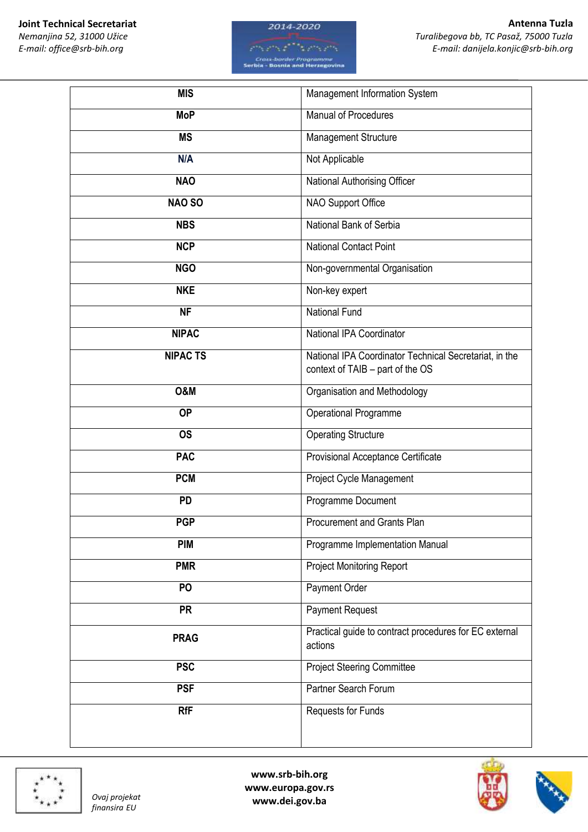*Nemanjina 52, 31000 Užice E-mail: office@srb-bih.org*





| <b>MIS</b>      | Management Information System                                                              |
|-----------------|--------------------------------------------------------------------------------------------|
| <b>MoP</b>      | Manual of Procedures                                                                       |
| <b>MS</b>       | Management Structure                                                                       |
| N/A             | Not Applicable                                                                             |
| <b>NAO</b>      | National Authorising Officer                                                               |
| NAO SO          | NAO Support Office                                                                         |
| <b>NBS</b>      | National Bank of Serbia                                                                    |
| <b>NCP</b>      | <b>National Contact Point</b>                                                              |
| <b>NGO</b>      | Non-governmental Organisation                                                              |
| <b>NKE</b>      | Non-key expert                                                                             |
| <b>NF</b>       | National Fund                                                                              |
| <b>NIPAC</b>    | National IPA Coordinator                                                                   |
| <b>NIPAC TS</b> | National IPA Coordinator Technical Secretariat, in the<br>context of TAIB - part of the OS |
| <b>0&amp;M</b>  | Organisation and Methodology                                                               |
| <b>OP</b>       | Operational Programme                                                                      |
| <b>OS</b>       | <b>Operating Structure</b>                                                                 |
| <b>PAC</b>      | Provisional Acceptance Certificate                                                         |
| <b>PCM</b>      | Project Cycle Management                                                                   |
| <b>PD</b>       | Programme Document                                                                         |
| <b>PGP</b>      | Procurement and Grants Plan                                                                |
| <b>PIM</b>      | Programme Implementation Manual                                                            |
| <b>PMR</b>      | <b>Project Monitoring Report</b>                                                           |
| PO              | Payment Order                                                                              |
| <b>PR</b>       | <b>Payment Request</b>                                                                     |
| <b>PRAG</b>     | Practical guide to contract procedures for EC external<br>actions                          |
| <b>PSC</b>      | <b>Project Steering Committee</b>                                                          |
| <b>PSF</b>      | Partner Search Forum                                                                       |
| <b>RfF</b>      | Requests for Funds                                                                         |
|                 |                                                                                            |



*finansira EU*